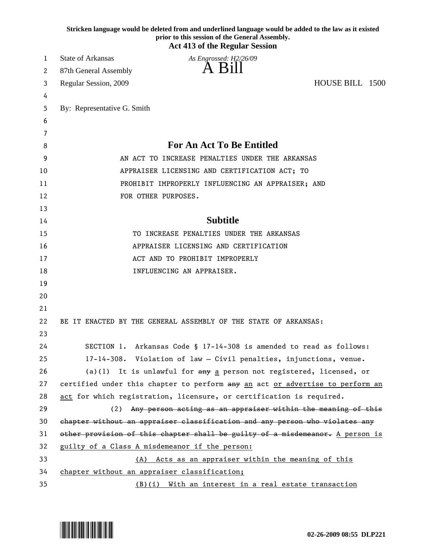|    | Stricken language would be deleted from and underlined language would be added to the law as it existed<br>prior to this session of the General Assembly.<br><b>Act 413 of the Regular Session</b> |
|----|----------------------------------------------------------------------------------------------------------------------------------------------------------------------------------------------------|
| 1  | <b>State of Arkansas</b><br>As Engrossed: H2/26/09                                                                                                                                                 |
| 2  | A Bill<br>87th General Assembly                                                                                                                                                                    |
| 3  | HOUSE BILL 1500<br>Regular Session, 2009                                                                                                                                                           |
| 4  |                                                                                                                                                                                                    |
| 5  | By: Representative G. Smith                                                                                                                                                                        |
| 6  |                                                                                                                                                                                                    |
| 7  |                                                                                                                                                                                                    |
| 8  | <b>For An Act To Be Entitled</b>                                                                                                                                                                   |
| 9  | AN ACT TO INCREASE PENALTIES UNDER THE ARKANSAS                                                                                                                                                    |
| 10 | APPRAISER LICENSING AND CERTIFICATION ACT; TO                                                                                                                                                      |
| 11 | PROHIBIT IMPROPERLY INFLUENCING AN APPRAISER; AND                                                                                                                                                  |
| 12 | FOR OTHER PURPOSES.                                                                                                                                                                                |
| 13 |                                                                                                                                                                                                    |
| 14 | <b>Subtitle</b>                                                                                                                                                                                    |
| 15 | TO INCREASE PENALTIES UNDER THE ARKANSAS                                                                                                                                                           |
| 16 | APPRAISER LICENSING AND CERTIFICATION                                                                                                                                                              |
| 17 | ACT AND TO PROHIBIT IMPROPERLY                                                                                                                                                                     |
| 18 | INFLUENCING AN APPRAISER.                                                                                                                                                                          |
| 19 |                                                                                                                                                                                                    |
| 20 |                                                                                                                                                                                                    |
| 21 |                                                                                                                                                                                                    |
| 22 | BE IT ENACTED BY THE GENERAL ASSEMBLY OF THE STATE OF ARKANSAS:                                                                                                                                    |
| 23 |                                                                                                                                                                                                    |
| 24 | SECTION 1. Arkansas Code § 17-14-308 is amended to read as follows:                                                                                                                                |
| 25 | 17-14-308. Violation of law - Civil penalties, injunctions, venue.                                                                                                                                 |
| 26 | $(a)(1)$ It is unlawful for any a person not registered, licensed, or                                                                                                                              |
| 27 | certified under this chapter to perform any an act or advertise to perform an                                                                                                                      |
| 28 | act for which registration, licensure, or certification is required.                                                                                                                               |
| 29 | Any person acting as an appraiser within the meaning of this<br>(2)                                                                                                                                |
| 30 | chapter without an appraiser classification and any person who violates any                                                                                                                        |
| 31 | other provision of this chapter shall be guilty of a misdemeanor. A person is                                                                                                                      |
| 32 | guilty of a Class A misdemeanor if the person:                                                                                                                                                     |
| 33 | Acts as an appraiser within the meaning of this<br>(A)                                                                                                                                             |
| 34 | chapter without an appraiser classification;                                                                                                                                                       |
| 35 | (B)(i) With an interest in a real estate transaction                                                                                                                                               |

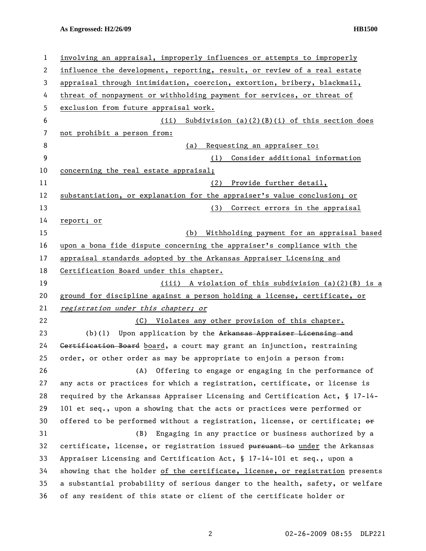**As Engrossed: H2/26/09 HB1500** 

| $\mathbf{1}$ | involving an appraisal, improperly influences or attempts to improperly       |
|--------------|-------------------------------------------------------------------------------|
| 2            | influence the development, reporting, result, or review of a real estate      |
| 3            | appraisal through intimidation, coercion, extortion, bribery, blackmail,      |
| 4            | threat of nonpayment or withholding payment for services, or threat of        |
| 5            | exclusion from future appraisal work.                                         |
| 6            | Subdivision $(a)(2)(B)(i)$ of this section does<br>(ii)                       |
| 7            | not prohibit a person from:                                                   |
| 8            | Requesting an appraiser to:<br>(a)                                            |
| 9            | Consider additional information<br>(1)                                        |
| 10           | concerning the real estate appraisal;                                         |
| 11           | (2)<br>Provide further detail,                                                |
| 12           | substantiation, or explanation for the appraiser's value conclusion; or       |
| 13           | (3) Correct errors in the appraisal                                           |
| 14           | report; or                                                                    |
| 15           | Withholding payment for an appraisal based<br>(b)                             |
| 16           | upon a bona fide dispute concerning the appraiser's compliance with the       |
| 17           | appraisal standards adopted by the Arkansas Appraiser Licensing and           |
| 18           | Certification Board under this chapter.                                       |
| 19           | (iii) A violation of this subdivision (a)(2)(B) is a                          |
| 20           | ground for discipline against a person holding a license, certificate, or     |
| 21           | registration under this chapter; or                                           |
| 22           | Violates any other provision of this chapter.<br>(C)                          |
| 23           | (b)(1) Upon application by the Arkansas Appraiser Licensing and               |
| 24           | Gertification Board board, a court may grant an injunction, restraining       |
| 25           | order, or other order as may be appropriate to enjoin a person from:          |
| 26           | Offering to engage or engaging in the performance of<br>(A)                   |
| 27           | any acts or practices for which a registration, certificate, or license is    |
| 28           | required by the Arkansas Appraiser Licensing and Certification Act, § 17-14-  |
| 29           | 101 et seq., upon a showing that the acts or practices were performed or      |
| 30           | offered to be performed without a registration, license, or certificate; or   |
| 31           | Engaging in any practice or business authorized by a<br>(B)                   |
| 32           | certificate, license, or registration issued pursuant to under the Arkansas   |
| 33           | Appraiser Licensing and Certification Act, § 17-14-101 et seq., upon a        |
| 34           | showing that the holder of the certificate, license, or registration presents |
| 35           | a substantial probability of serious danger to the health, safety, or welfare |
| 36           | of any resident of this state or client of the certificate holder or          |